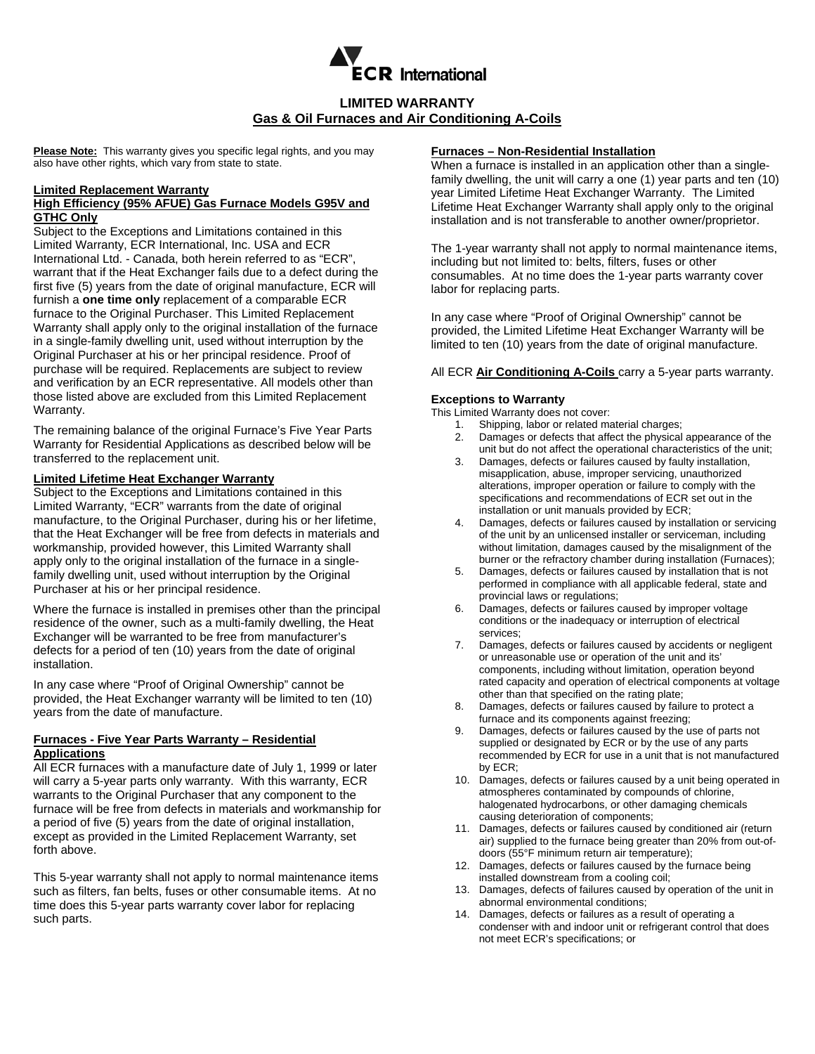

# **LIMITED WARRANTY Gas & Oil Furnaces and Air Conditioning A-Coils**

**Please Note:** This warranty gives you specific legal rights, and you may also have other rights, which vary from state to state.

#### **Limited Replacement Warranty**

### **High Efficiency (95% AFUE) Gas Furnace Models G95V and GTHC Only**

Subject to the Exceptions and Limitations contained in this Limited Warranty, ECR International, Inc. USA and ECR International Ltd. - Canada, both herein referred to as "ECR", warrant that if the Heat Exchanger fails due to a defect during the first five (5) years from the date of original manufacture, ECR will furnish a **one time only** replacement of a comparable ECR furnace to the Original Purchaser. This Limited Replacement Warranty shall apply only to the original installation of the furnace in a single-family dwelling unit, used without interruption by the Original Purchaser at his or her principal residence. Proof of purchase will be required. Replacements are subject to review and verification by an ECR representative. All models other than those listed above are excluded from this Limited Replacement Warranty.

The remaining balance of the original Furnace's Five Year Parts Warranty for Residential Applications as described below will be transferred to the replacement unit.

### **Limited Lifetime Heat Exchanger Warranty**

Subject to the Exceptions and Limitations contained in this Limited Warranty, "ECR" warrants from the date of original manufacture, to the Original Purchaser, during his or her lifetime, that the Heat Exchanger will be free from defects in materials and workmanship, provided however, this Limited Warranty shall apply only to the original installation of the furnace in a singlefamily dwelling unit, used without interruption by the Original Purchaser at his or her principal residence.

Where the furnace is installed in premises other than the principal residence of the owner, such as a multi-family dwelling, the Heat Exchanger will be warranted to be free from manufacturer's defects for a period of ten (10) years from the date of original installation.

In any case where "Proof of Original Ownership" cannot be provided, the Heat Exchanger warranty will be limited to ten (10) years from the date of manufacture.

# **Furnaces - Five Year Parts Warranty – Residential Applications**

All ECR furnaces with a manufacture date of July 1, 1999 or later will carry a 5-year parts only warranty. With this warranty, ECR warrants to the Original Purchaser that any component to the furnace will be free from defects in materials and workmanship for a period of five (5) years from the date of original installation, except as provided in the Limited Replacement Warranty, set forth above.

This 5-year warranty shall not apply to normal maintenance items such as filters, fan belts, fuses or other consumable items. At no time does this 5-year parts warranty cover labor for replacing such parts.

## **Furnaces – Non-Residential Installation**

When a furnace is installed in an application other than a singlefamily dwelling, the unit will carry a one (1) year parts and ten (10) year Limited Lifetime Heat Exchanger Warranty. The Limited Lifetime Heat Exchanger Warranty shall apply only to the original installation and is not transferable to another owner/proprietor.

The 1-year warranty shall not apply to normal maintenance items, including but not limited to: belts, filters, fuses or other consumables. At no time does the 1-year parts warranty cover labor for replacing parts.

In any case where "Proof of Original Ownership" cannot be provided, the Limited Lifetime Heat Exchanger Warranty will be limited to ten (10) years from the date of original manufacture.

#### All ECR **Air Conditioning A-Coils** carry a 5-year parts warranty.

### **Exceptions to Warranty**

- This Limited Warranty does not cover:
	- 1. Shipping, labor or related material charges;
	- 2. Damages or defects that affect the physical appearance of the unit but do not affect the operational characteristics of the unit;
	- 3. Damages, defects or failures caused by faulty installation, misapplication, abuse, improper servicing, unauthorized alterations, improper operation or failure to comply with the specifications and recommendations of ECR set out in the installation or unit manuals provided by ECR;
	- 4. Damages, defects or failures caused by installation or servicing of the unit by an unlicensed installer or serviceman, including without limitation, damages caused by the misalignment of the burner or the refractory chamber during installation (Furnaces);
	- 5. Damages, defects or failures caused by installation that is not performed in compliance with all applicable federal, state and provincial laws or regulations;
	- 6. Damages, defects or failures caused by improper voltage conditions or the inadequacy or interruption of electrical services;
	- 7. Damages, defects or failures caused by accidents or negligent or unreasonable use or operation of the unit and its' components, including without limitation, operation beyond rated capacity and operation of electrical components at voltage other than that specified on the rating plate;
	- 8. Damages, defects or failures caused by failure to protect a furnace and its components against freezing;
	- 9. Damages, defects or failures caused by the use of parts not supplied or designated by ECR or by the use of any parts recommended by ECR for use in a unit that is not manufactured by ECR;
	- 10. Damages, defects or failures caused by a unit being operated in atmospheres contaminated by compounds of chlorine, halogenated hydrocarbons, or other damaging chemicals causing deterioration of components;
	- 11. Damages, defects or failures caused by conditioned air (return air) supplied to the furnace being greater than 20% from out-ofdoors (55°F minimum return air temperature);
	- 12. Damages, defects or failures caused by the furnace being installed downstream from a cooling coil;
	- 13. Damages, defects of failures caused by operation of the unit in abnormal environmental conditions;
	- 14. Damages, defects or failures as a result of operating a condenser with and indoor unit or refrigerant control that does not meet ECR's specifications; or